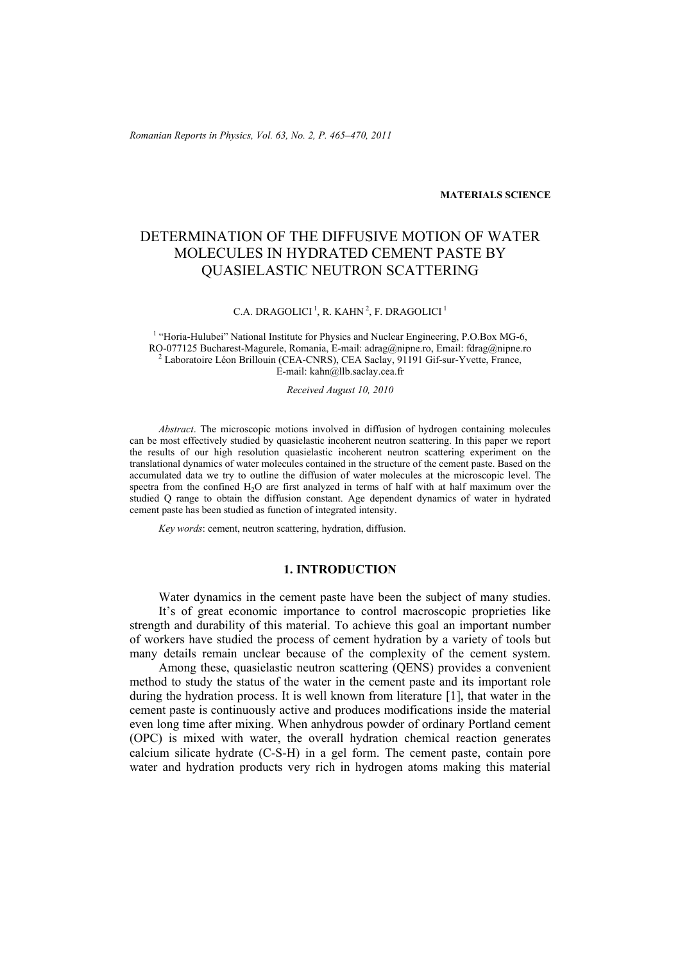*Romanian Reports in Physics, Vol. 63, No. 2, P. 465–470, 2011*

#### **MATERIALS SCIENCE**

# DETERMINATION OF THE DIFFUSIVE MOTION OF WATER MOLECULES IN HYDRATED CEMENT PASTE BY QUASIELASTIC NEUTRON SCATTERING

## C.A. DRAGOLICI<sup>1</sup>, R. KAHN<sup>2</sup>, F. DRAGOLICI<sup>1</sup>

<sup>1</sup> "Horia-Hulubei" National Institute for Physics and Nuclear Engineering, P.O.Box MG-6, RO-077125 Bucharest-Magurele, Romania, E-mail: adrag@nipne.ro, Email: fdrag@nipne.ro 2  $^{2}$  Laboratoire Léon Brillouin (CEA-CNRS), CEA Saclay, 91191 Gif-sur-Yvette, France, E-mail: kahn@llb.saclay.cea.fr

*Received August 10, 2010* 

*Abstract*. The microscopic motions involved in diffusion of hydrogen containing molecules can be most effectively studied by quasielastic incoherent neutron scattering. In this paper we report the results of our high resolution quasielastic incoherent neutron scattering experiment on the translational dynamics of water molecules contained in the structure of the cement paste. Based on the accumulated data we try to outline the diffusion of water molecules at the microscopic level. The spectra from the confined  $H_2O$  are first analyzed in terms of half with at half maximum over the studied Q range to obtain the diffusion constant. Age dependent dynamics of water in hydrated cement paste has been studied as function of integrated intensity.

*Key words*: cement, neutron scattering, hydration, diffusion.

## **1. INTRODUCTION**

 Water dynamics in the cement paste have been the subject of many studies. It's of great economic importance to control macroscopic proprieties like strength and durability of this material. To achieve this goal an important number of workers have studied the process of cement hydration by a variety of tools but many details remain unclear because of the complexity of the cement system.

 Among these, quasielastic neutron scattering (QENS) provides a convenient method to study the status of the water in the cement paste and its important role during the hydration process. It is well known from literature [1], that water in the cement paste is continuously active and produces modifications inside the material even long time after mixing. When anhydrous powder of ordinary Portland cement (OPC) is mixed with water, the overall hydration chemical reaction generates calcium silicate hydrate (C-S-H) in a gel form. The cement paste, contain pore water and hydration products very rich in hydrogen atoms making this material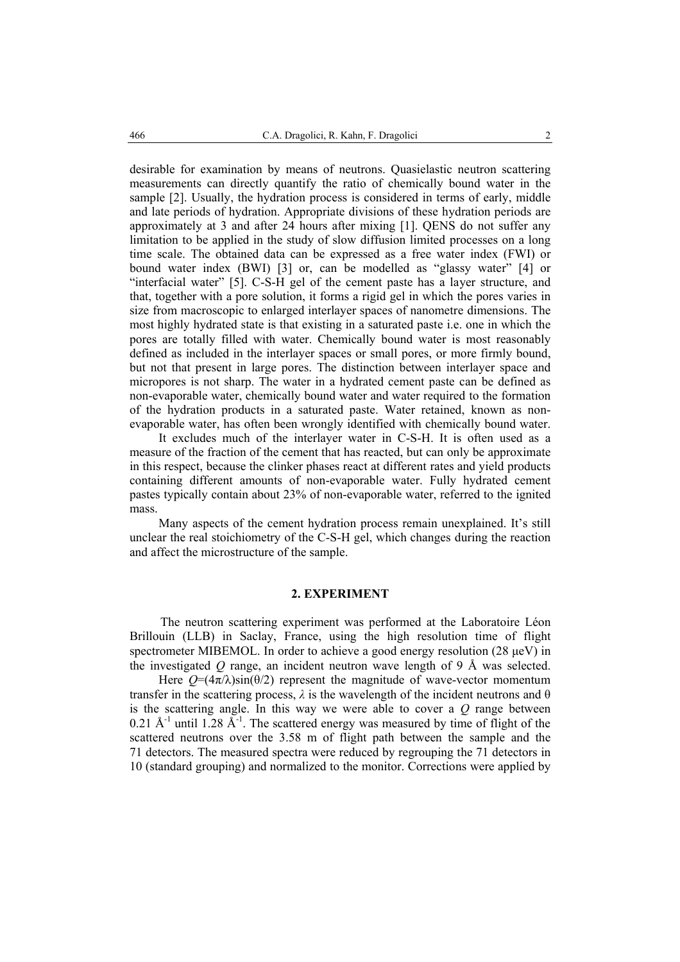desirable for examination by means of neutrons. Quasielastic neutron scattering measurements can directly quantify the ratio of chemically bound water in the sample [2]. Usually, the hydration process is considered in terms of early, middle and late periods of hydration. Appropriate divisions of these hydration periods are approximately at 3 and after 24 hours after mixing [1]. QENS do not suffer any limitation to be applied in the study of slow diffusion limited processes on a long time scale. The obtained data can be expressed as a free water index (FWI) or bound water index (BWI) [3] or, can be modelled as "glassy water" [4] or "interfacial water" [5]. C-S-H gel of the cement paste has a layer structure, and that, together with a pore solution, it forms a rigid gel in which the pores varies in size from macroscopic to enlarged interlayer spaces of nanometre dimensions. The most highly hydrated state is that existing in a saturated paste i.e. one in which the pores are totally filled with water. Chemically bound water is most reasonably defined as included in the interlayer spaces or small pores, or more firmly bound, but not that present in large pores. The distinction between interlayer space and micropores is not sharp. The water in a hydrated cement paste can be defined as non-evaporable water, chemically bound water and water required to the formation of the hydration products in a saturated paste. Water retained, known as nonevaporable water, has often been wrongly identified with chemically bound water.

 It excludes much of the interlayer water in C-S-H. It is often used as a measure of the fraction of the cement that has reacted, but can only be approximate in this respect, because the clinker phases react at different rates and yield products containing different amounts of non-evaporable water. Fully hydrated cement pastes typically contain about 23% of non-evaporable water, referred to the ignited mass.

 Many aspects of the cement hydration process remain unexplained. It's still unclear the real stoichiometry of the C-S-H gel, which changes during the reaction and affect the microstructure of the sample.

## **2. EXPERIMENT**

The neutron scattering experiment was performed at the Laboratoire Léon Brillouin (LLB) in Saclay, France, using the high resolution time of flight spectrometer MIBEMOL. In order to achieve a good energy resolution (28 µeV) in the investigated *Q* range, an incident neutron wave length of 9 Å was selected.

Here  $Q = (4\pi/\lambda)\sin(\theta/2)$  represent the magnitude of wave-vector momentum transfer in the scattering process,  $\lambda$  is the wavelength of the incident neutrons and  $\theta$ is the scattering angle. In this way we were able to cover a *Q* range between 0.21 Å $^{-1}$  until 1.28 Å $^{-1}$ . The scattered energy was measured by time of flight of the scattered neutrons over the 3.58 m of flight path between the sample and the 71 detectors. The measured spectra were reduced by regrouping the 71 detectors in 10 (standard grouping) and normalized to the monitor. Corrections were applied by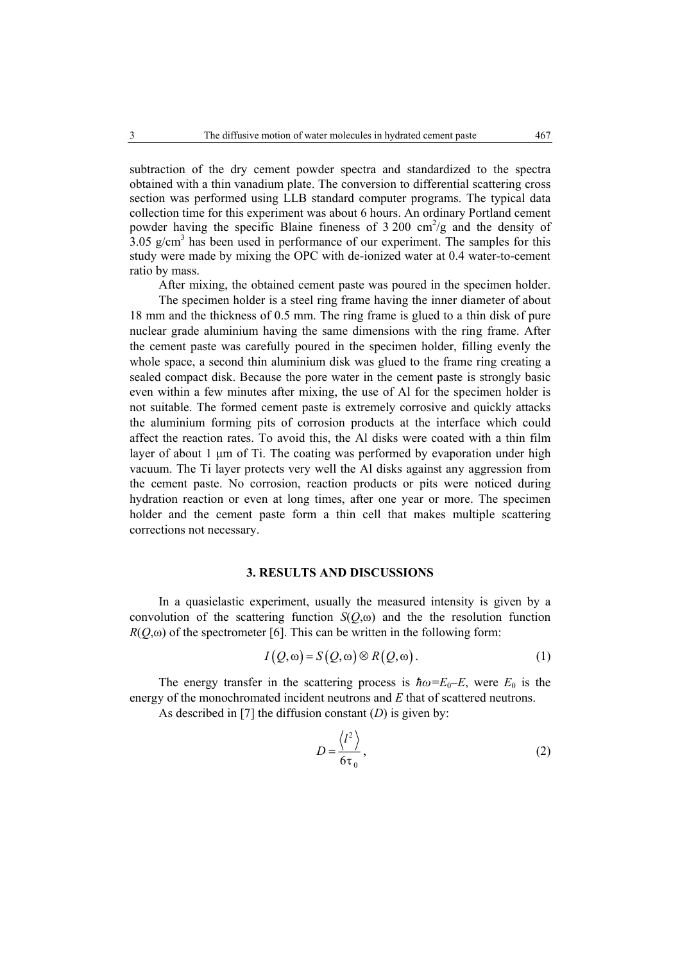subtraction of the dry cement powder spectra and standardized to the spectra obtained with a thin vanadium plate. The conversion to differential scattering cross section was performed using LLB standard computer programs. The typical data collection time for this experiment was about 6 hours. An ordinary Portland cement powder having the specific Blaine fineness of  $3\,200 \text{ cm}^2/\text{g}$  and the density of  $3.05$  g/cm<sup>3</sup> has been used in performance of our experiment. The samples for this study were made by mixing the OPC with de-ionized water at 0.4 water-to-cement ratio by mass.

After mixing, the obtained cement paste was poured in the specimen holder.

 The specimen holder is a steel ring frame having the inner diameter of about 18 mm and the thickness of 0.5 mm. The ring frame is glued to a thin disk of pure nuclear grade aluminium having the same dimensions with the ring frame. After the cement paste was carefully poured in the specimen holder, filling evenly the whole space, a second thin aluminium disk was glued to the frame ring creating a sealed compact disk. Because the pore water in the cement paste is strongly basic even within a few minutes after mixing, the use of Al for the specimen holder is not suitable. The formed cement paste is extremely corrosive and quickly attacks the aluminium forming pits of corrosion products at the interface which could affect the reaction rates. To avoid this, the Al disks were coated with a thin film layer of about 1 µm of Ti. The coating was performed by evaporation under high vacuum. The Ti layer protects very well the Al disks against any aggression from the cement paste. No corrosion, reaction products or pits were noticed during hydration reaction or even at long times, after one year or more. The specimen holder and the cement paste form a thin cell that makes multiple scattering corrections not necessary.

## **3. RESULTS AND DISCUSSIONS**

In a quasielastic experiment, usually the measured intensity is given by a convolution of the scattering function  $S(Q,\omega)$  and the the resolution function  $R(O,\omega)$  of the spectrometer [6]. This can be written in the following form:

$$
I(Q, \omega) = S(Q, \omega) \otimes R(Q, \omega).
$$
 (1)

The energy transfer in the scattering process is  $\hbar \omega = E_0 - E$ , were  $E_0$  is the energy of the monochromated incident neutrons and *E* that of scattered neutrons.

As described in [7] the diffusion constant (*D*) is given by:

$$
D = \frac{\langle l^2 \rangle}{6\tau_0},\tag{2}
$$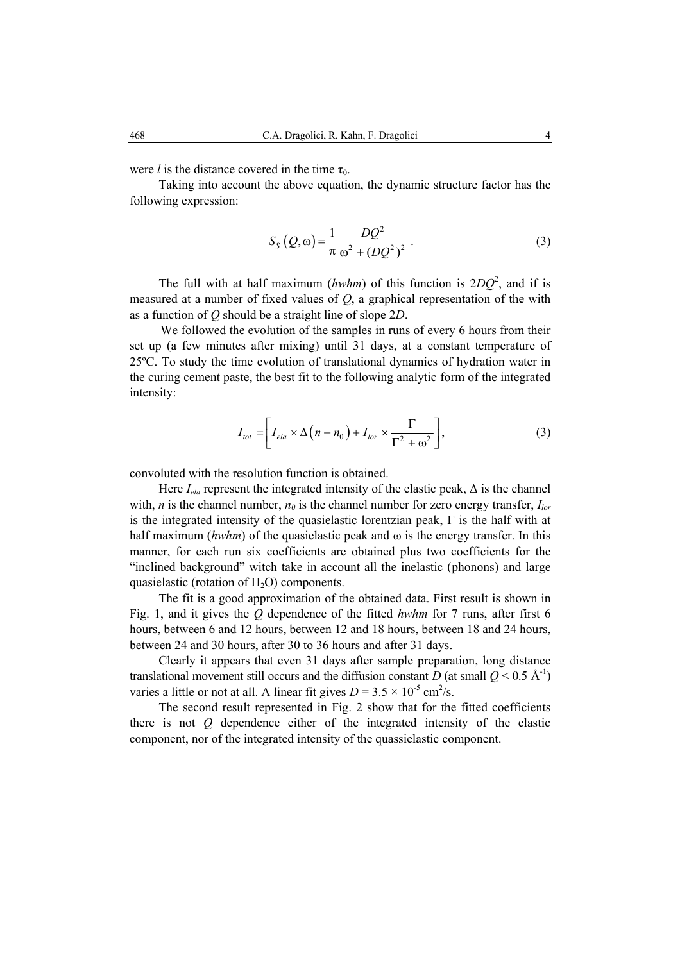were *l* is the distance covered in the time  $\tau_0$ .

Taking into account the above equation, the dynamic structure factor has the following expression:

$$
S_S(Q,\omega) = \frac{1}{\pi} \frac{DQ^2}{\omega^2 + (DQ^2)^2}.
$$
 (3)

The full with at half maximum (*hwhm*) of this function is  $2DQ^2$ , and if is measured at a number of fixed values of *Q*, a graphical representation of the with as a function of *Q* should be a straight line of slope 2*D*.

We followed the evolution of the samples in runs of every 6 hours from their set up (a few minutes after mixing) until 31 days, at a constant temperature of 25ºC. To study the time evolution of translational dynamics of hydration water in the curing cement paste, the best fit to the following analytic form of the integrated intensity:

$$
I_{tot} = \left[ I_{ela} \times \Delta \left( n - n_0 \right) + I_{lor} \times \frac{\Gamma}{\Gamma^2 + \omega^2} \right],
$$
 (3)

convoluted with the resolution function is obtained.

Here  $I_{ela}$  represent the integrated intensity of the elastic peak,  $\Delta$  is the channel with, *n* is the channel number,  $n_\theta$  is the channel number for zero energy transfer,  $I_{lor}$ is the integrated intensity of the quasielastic lorentzian peak,  $\Gamma$  is the half with at half maximum ( $hwhm$ ) of the quasielastic peak and  $\omega$  is the energy transfer. In this manner, for each run six coefficients are obtained plus two coefficients for the "inclined background" witch take in account all the inelastic (phonons) and large quasielastic (rotation of  $H_2O$ ) components.

 The fit is a good approximation of the obtained data. First result is shown in Fig. 1, and it gives the *Q* dependence of the fitted *hwhm* for 7 runs, after first 6 hours, between 6 and 12 hours, between 12 and 18 hours, between 18 and 24 hours, between 24 and 30 hours, after 30 to 36 hours and after 31 days.

Clearly it appears that even 31 days after sample preparation, long distance translational movement still occurs and the diffusion constant *D* (at small  $Q < 0.5$  Å<sup>-1</sup>) varies a little or not at all. A linear fit gives  $D = 3.5 \times 10^{-5}$  cm<sup>2</sup>/s.

 The second result represented in Fig. 2 show that for the fitted coefficients there is not *Q* dependence either of the integrated intensity of the elastic component, nor of the integrated intensity of the quassielastic component.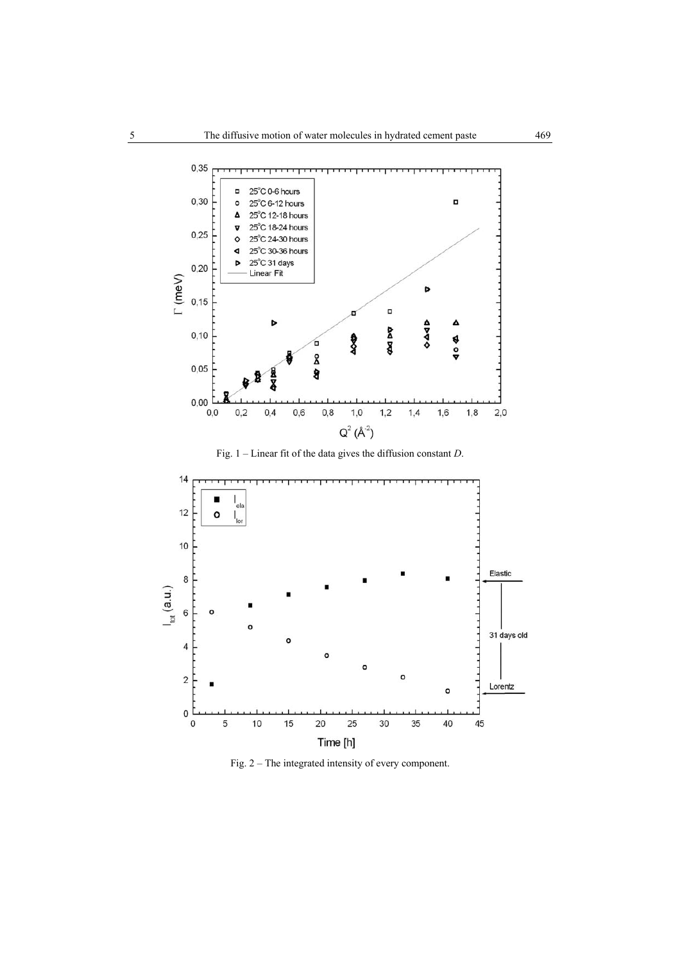

Fig. 1 – Linear fit of the data gives the diffusion constant *D*.



Fig. 2 – The integrated intensity of every component.